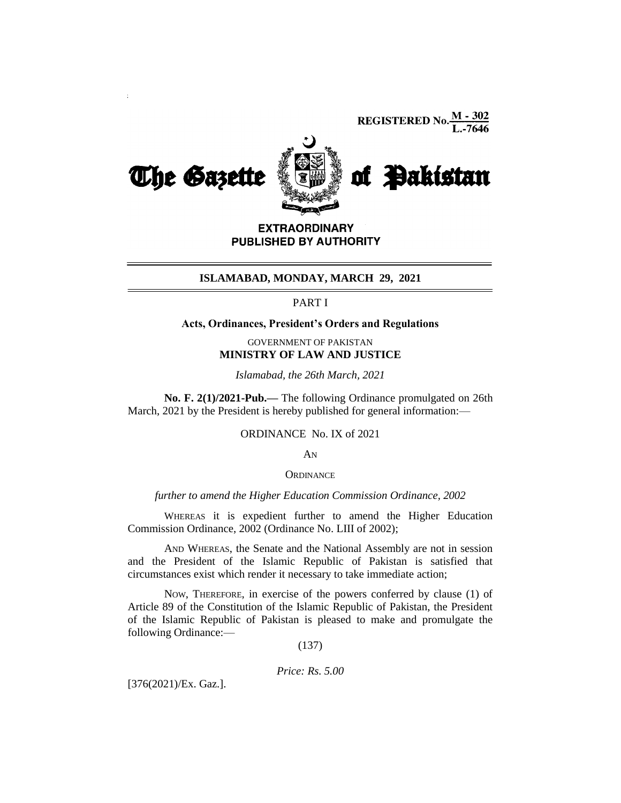**REGISTERED No.**  $\frac{M - 302}{L - 7646}$ 



**EXTRAORDINARY** PUBLISHED BY AUTHORITY

#### **ISLAMABAD, MONDAY, MARCH 29, 2021**

# PART I

## **Acts, Ordinances, President's Orders and Regulations**

# GOVERNMENT OF PAKISTAN **MINISTRY OF LAW AND JUSTICE**

*Islamabad, the 26th March, 2021*

**No. F. 2(1)/2021-Pub.—** The following Ordinance promulgated on 26th March, 2021 by the President is hereby published for general information:—

### ORDINANCE No. IX of 2021

AN

#### **ORDINANCE**

*further to amend the Higher Education Commission Ordinance, 2002*

WHEREAS it is expedient further to amend the Higher Education Commission Ordinance, 2002 (Ordinance No. LIII of 2002);

AND WHEREAS, the Senate and the National Assembly are not in session and the President of the Islamic Republic of Pakistan is satisfied that circumstances exist which render it necessary to take immediate action;

NOW, THEREFORE, in exercise of the powers conferred by clause (1) of Article 89 of the Constitution of the Islamic Republic of Pakistan, the President of the Islamic Republic of Pakistan is pleased to make and promulgate the following Ordinance:—

(137)

*Price: Rs. 5.00*

[376(2021)/Ex. Gaz.].